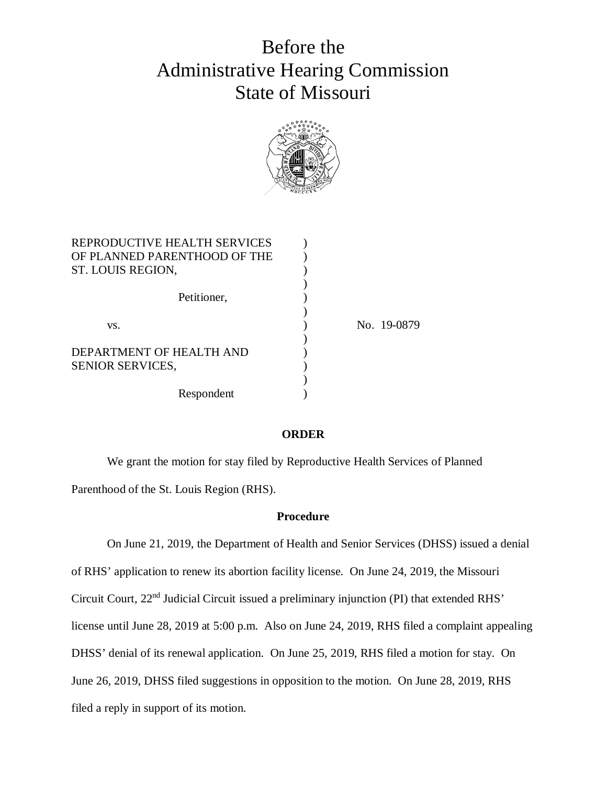# Before the Administrative Hearing Commission State of Missouri



| REPRODUCTIVE HEALTH SERVICES |             |
|------------------------------|-------------|
| OF PLANNED PARENTHOOD OF THE |             |
| ST. LOUIS REGION,            |             |
|                              |             |
| Petitioner,                  |             |
|                              |             |
| VS.                          | No. 19-0879 |
|                              |             |
| DEPARTMENT OF HEALTH AND     |             |
| <b>SENIOR SERVICES,</b>      |             |
|                              |             |
| Respondent                   |             |

#### **ORDER**

We grant the motion for stay filed by Reproductive Health Services of Planned Parenthood of the St. Louis Region (RHS).

#### **Procedure**

On June 21, 2019, the Department of Health and Senior Services (DHSS) issued a denial of RHS' application to renew its abortion facility license. On June 24, 2019, the Missouri Circuit Court, 22nd Judicial Circuit issued a preliminary injunction (PI) that extended RHS' license until June 28, 2019 at 5:00 p.m. Also on June 24, 2019, RHS filed a complaint appealing DHSS' denial of its renewal application. On June 25, 2019, RHS filed a motion for stay. On June 26, 2019, DHSS filed suggestions in opposition to the motion. On June 28, 2019, RHS filed a reply in support of its motion.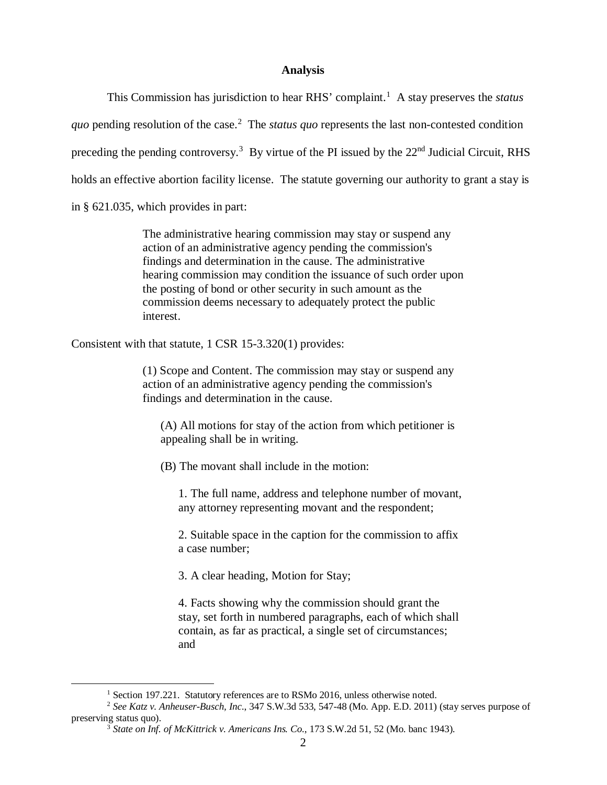# **Analysis**

This Commission has jurisdiction to hear RHS' complaint.<sup>1</sup> A stay preserves the *status* quo pending resolution of the case.<sup>2</sup> The *status quo* represents the last non-contested condition preceding the pending controversy.<sup>3</sup> By virtue of the PI issued by the  $22<sup>nd</sup>$  Judicial Circuit, RHS holds an effective abortion facility license. The statute governing our authority to grant a stay is in § 621.035, which provides in part:

> The administrative hearing commission may stay or suspend any action of an administrative agency pending the commission's findings and determination in the cause. The administrative hearing commission may condition the issuance of such order upon the posting of bond or other security in such amount as the commission deems necessary to adequately protect the public interest.

Consistent with that statute, 1 CSR 15-3.320(1) provides:

(1) Scope and Content. The commission may stay or suspend any action of an administrative agency pending the commission's findings and determination in the cause.

(A) All motions for stay of the action from which petitioner is appealing shall be in writing.

(B) The movant shall include in the motion:

1. The full name, address and telephone number of movant, any attorney representing movant and the respondent;

2. Suitable space in the caption for the commission to affix a case number;

3. A clear heading, Motion for Stay;

4. Facts showing why the commission should grant the stay, set forth in numbered paragraphs, each of which shall contain, as far as practical, a single set of circumstances; and

<sup>&</sup>lt;sup>1</sup> Section 197.221. Statutory references are to RSMo 2016, unless otherwise noted.

<sup>2</sup> *See Katz v. Anheuser-Busch, Inc*., 347 S.W.3d 533, 547-48 (Mo. App. E.D. 2011) (stay serves purpose of preserving status quo).

<sup>3</sup> *State on Inf. of McKittrick v. Americans Ins. Co.*, 173 S.W.2d 51, 52 (Mo. banc 1943).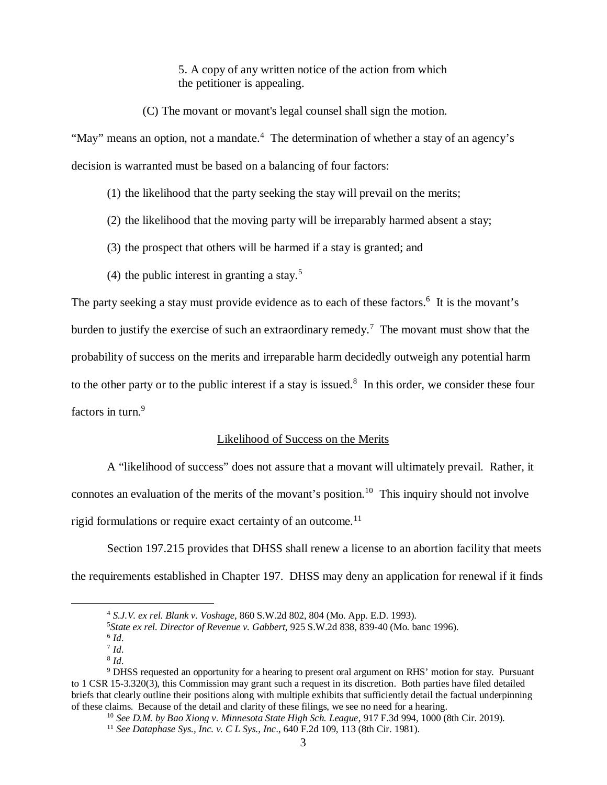5. A copy of any written notice of the action from which the petitioner is appealing.

(C) The movant or movant's legal counsel shall sign the motion.

"May" means an option, not a mandate.<sup>4</sup> The determination of whether a stay of an agency's decision is warranted must be based on a balancing of four factors:

- (1) the likelihood that the party seeking the stay will prevail on the merits;
- (2) the likelihood that the moving party will be irreparably harmed absent a stay;
- (3) the prospect that others will be harmed if a stay is granted; and
- (4) the public interest in granting a stay.<sup>5</sup>

The party seeking a stay must provide evidence as to each of these factors.<sup>6</sup> It is the movant's burden to justify the exercise of such an extraordinary remedy.<sup>7</sup> The movant must show that the probability of success on the merits and irreparable harm decidedly outweigh any potential harm to the other party or to the public interest if a stay is issued. $8$  In this order, we consider these four factors in turn.<sup>9</sup>

### Likelihood of Success on the Merits

A "likelihood of success" does not assure that a movant will ultimately prevail. Rather, it connotes an evaluation of the merits of the movant's position.<sup>10</sup> This inquiry should not involve rigid formulations or require exact certainty of an outcome.<sup>11</sup>

Section 197.215 provides that DHSS shall renew a license to an abortion facility that meets the requirements established in Chapter 197. DHSS may deny an application for renewal if it finds

<sup>4</sup>  *S.J.V. ex rel. Blank v. Voshage*, 860 S.W.2d 802, 804 (Mo. App. E.D. 1993).

<sup>5</sup>*State ex rel. Director of Revenue v. Gabbert*, 925 S.W.2d 838, 839-40 (Mo. banc 1996).

<sup>6</sup> *Id*.

<sup>7</sup> *Id*. 8 *Id*.

<sup>&</sup>lt;sup>9</sup> DHSS requested an opportunity for a hearing to present oral argument on RHS' motion for stay. Pursuant to 1 CSR 15-3.320(3), this Commission may grant such a request in its discretion. Both parties have filed detailed briefs that clearly outline their positions along with multiple exhibits that sufficiently detail the factual underpinning of these claims. Because of the detail and clarity of these filings, we see no need for a hearing.

<sup>10</sup> *See D.M. by Bao Xiong v. Minnesota State High Sch. League*, 917 F.3d 994, 1000 (8th Cir. 2019).

<sup>11</sup> *See Dataphase Sys., Inc. v. C L Sys., Inc*., 640 F.2d 109, 113 (8th Cir. 1981).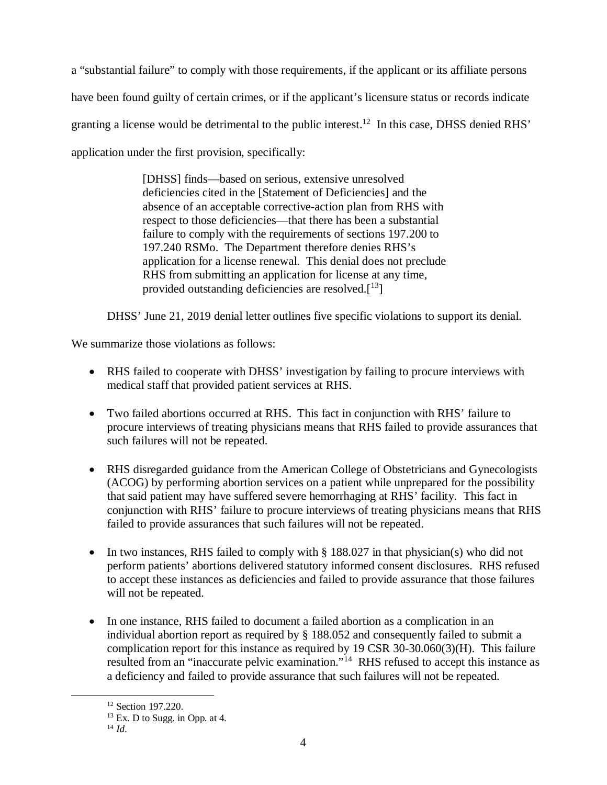a "substantial failure" to comply with those requirements, if the applicant or its affiliate persons have been found guilty of certain crimes, or if the applicant's licensure status or records indicate granting a license would be detrimental to the public interest.<sup>12</sup> In this case, DHSS denied RHS' application under the first provision, specifically:

> [DHSS] finds—based on serious, extensive unresolved deficiencies cited in the [Statement of Deficiencies] and the absence of an acceptable corrective-action plan from RHS with respect to those deficiencies—that there has been a substantial failure to comply with the requirements of sections 197.200 to 197.240 RSMo. The Department therefore denies RHS's application for a license renewal. This denial does not preclude RHS from submitting an application for license at any time, provided outstanding deficiencies are resolved. $[13]$

DHSS' June 21, 2019 denial letter outlines five specific violations to support its denial.

We summarize those violations as follows:

- RHS failed to cooperate with DHSS' investigation by failing to procure interviews with medical staff that provided patient services at RHS.
- Two failed abortions occurred at RHS. This fact in conjunction with RHS' failure to procure interviews of treating physicians means that RHS failed to provide assurances that such failures will not be repeated.
- RHS disregarded guidance from the American College of Obstetricians and Gynecologists (ACOG) by performing abortion services on a patient while unprepared for the possibility that said patient may have suffered severe hemorrhaging at RHS' facility. This fact in conjunction with RHS' failure to procure interviews of treating physicians means that RHS failed to provide assurances that such failures will not be repeated.
- In two instances, RHS failed to comply with  $\S$  188.027 in that physician(s) who did not perform patients' abortions delivered statutory informed consent disclosures. RHS refused to accept these instances as deficiencies and failed to provide assurance that those failures will not be repeated.
- In one instance, RHS failed to document a failed abortion as a complication in an individual abortion report as required by § 188.052 and consequently failed to submit a complication report for this instance as required by 19 CSR 30-30.060(3)(H). This failure resulted from an "inaccurate pelvic examination."<sup>14</sup> RHS refused to accept this instance as a deficiency and failed to provide assurance that such failures will not be repeated.

<sup>&</sup>lt;sup>12</sup> Section 197.220.

<sup>13</sup> Ex. D to Sugg. in Opp. at 4.

<sup>14</sup> *Id*.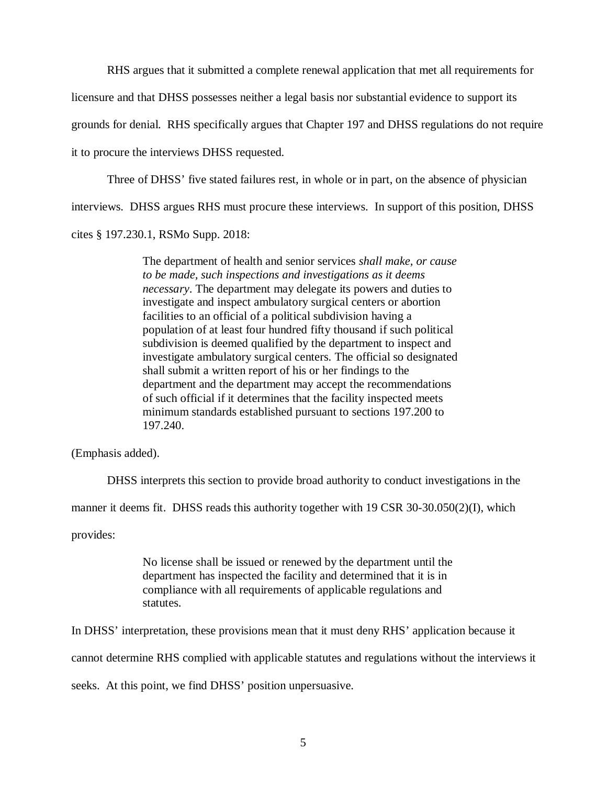RHS argues that it submitted a complete renewal application that met all requirements for licensure and that DHSS possesses neither a legal basis nor substantial evidence to support its grounds for denial. RHS specifically argues that Chapter 197 and DHSS regulations do not require it to procure the interviews DHSS requested.

Three of DHSS' five stated failures rest, in whole or in part, on the absence of physician interviews. DHSS argues RHS must procure these interviews. In support of this position, DHSS

cites § 197.230.1, RSMo Supp. 2018:

The department of health and senior services *shall make, or cause to be made, such inspections and investigations as it deems necessary*. The department may delegate its powers and duties to investigate and inspect ambulatory surgical centers or abortion facilities to an official of a political subdivision having a population of at least four hundred fifty thousand if such political subdivision is deemed qualified by the department to inspect and investigate ambulatory surgical centers. The official so designated shall submit a written report of his or her findings to the department and the department may accept the recommendations of such official if it determines that the facility inspected meets minimum standards established pursuant to sections 197.200 to 197.240.

(Emphasis added).

DHSS interprets this section to provide broad authority to conduct investigations in the

manner it deems fit. DHSS reads this authority together with 19 CSR 30-30.050(2)(I), which

provides:

No license shall be issued or renewed by the department until the department has inspected the facility and determined that it is in compliance with all requirements of applicable regulations and statutes.

In DHSS' interpretation, these provisions mean that it must deny RHS' application because it cannot determine RHS complied with applicable statutes and regulations without the interviews it seeks. At this point, we find DHSS' position unpersuasive.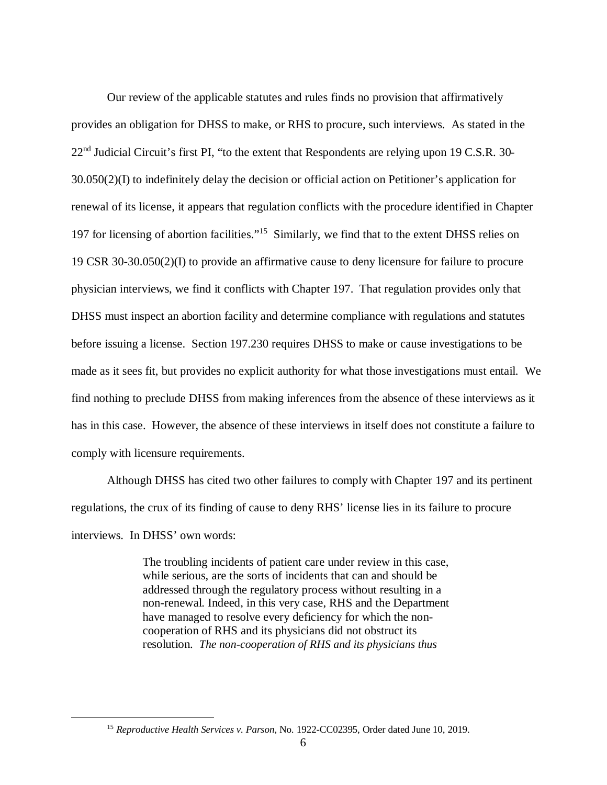Our review of the applicable statutes and rules finds no provision that affirmatively provides an obligation for DHSS to make, or RHS to procure, such interviews. As stated in the  $22<sup>nd</sup>$  Judicial Circuit's first PI, "to the extent that Respondents are relying upon 19 C.S.R. 30-30.050(2)(I) to indefinitely delay the decision or official action on Petitioner's application for renewal of its license, it appears that regulation conflicts with the procedure identified in Chapter 197 for licensing of abortion facilities."<sup>15</sup> Similarly, we find that to the extent DHSS relies on 19 CSR 30-30.050(2)(I) to provide an affirmative cause to deny licensure for failure to procure physician interviews, we find it conflicts with Chapter 197. That regulation provides only that DHSS must inspect an abortion facility and determine compliance with regulations and statutes before issuing a license. Section 197.230 requires DHSS to make or cause investigations to be made as it sees fit, but provides no explicit authority for what those investigations must entail. We find nothing to preclude DHSS from making inferences from the absence of these interviews as it has in this case. However, the absence of these interviews in itself does not constitute a failure to comply with licensure requirements.

Although DHSS has cited two other failures to comply with Chapter 197 and its pertinent regulations, the crux of its finding of cause to deny RHS' license lies in its failure to procure interviews. In DHSS' own words:

> The troubling incidents of patient care under review in this case, while serious, are the sorts of incidents that can and should be addressed through the regulatory process without resulting in a non-renewal. Indeed, in this very case, RHS and the Department have managed to resolve every deficiency for which the noncooperation of RHS and its physicians did not obstruct its resolution. *The non-cooperation of RHS and its physicians thus*

<sup>15</sup> *Reproductive Health Services v. Parson*, No. 1922-CC02395, Order dated June 10, 2019.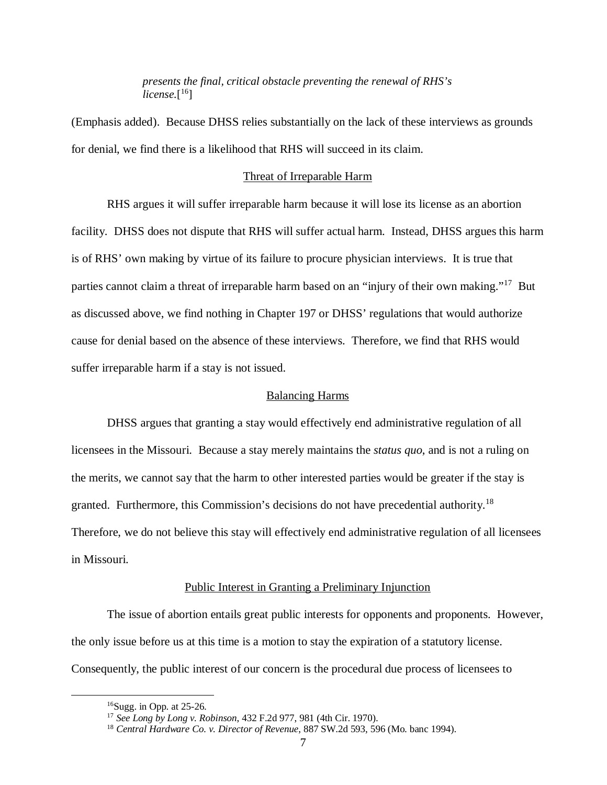*presents the final, critical obstacle preventing the renewal of RHS's license.*[ 16]

(Emphasis added). Because DHSS relies substantially on the lack of these interviews as grounds for denial, we find there is a likelihood that RHS will succeed in its claim.

# Threat of Irreparable Harm

RHS argues it will suffer irreparable harm because it will lose its license as an abortion facility. DHSS does not dispute that RHS will suffer actual harm. Instead, DHSS argues this harm is of RHS' own making by virtue of its failure to procure physician interviews. It is true that parties cannot claim a threat of irreparable harm based on an "injury of their own making."<sup>17</sup> But as discussed above, we find nothing in Chapter 197 or DHSS' regulations that would authorize cause for denial based on the absence of these interviews. Therefore, we find that RHS would suffer irreparable harm if a stay is not issued.

#### Balancing Harms

DHSS argues that granting a stay would effectively end administrative regulation of all licensees in the Missouri. Because a stay merely maintains the *status quo*, and is not a ruling on the merits, we cannot say that the harm to other interested parties would be greater if the stay is granted. Furthermore, this Commission's decisions do not have precedential authority.<sup>18</sup> Therefore, we do not believe this stay will effectively end administrative regulation of all licensees in Missouri.

#### Public Interest in Granting a Preliminary Injunction

The issue of abortion entails great public interests for opponents and proponents. However, the only issue before us at this time is a motion to stay the expiration of a statutory license. Consequently, the public interest of our concern is the procedural due process of licensees to

 $16Sugg.$  in Opp. at 25-26.

<sup>17</sup> *See Long by Long v. Robinson*, 432 F.2d 977, 981 (4th Cir. 1970).

<sup>18</sup> *Central Hardware Co. v. Director of Revenue*, 887 SW.2d 593, 596 (Mo. banc 1994).